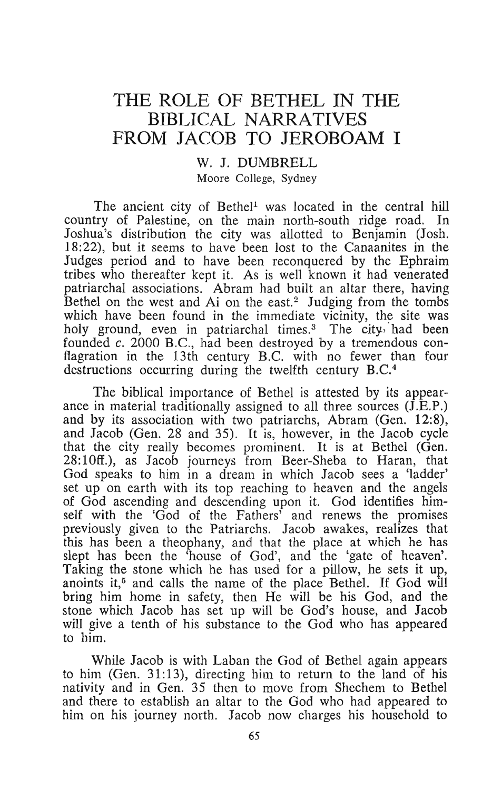# THE ROLE OF BETHEL IN THE BIBLICAL NARRATIVES FROM JACOB TO JEROBOAM I

# w. J. DUMBRELL Moore College, Sydney

The ancient city of Bethel<sup>1</sup> was located in the central hill country of Palestine, on the main north-south ridge road. In Joshua's distribution the city was allotted to Benjamin (Josh. 18:22), but it seems to have been lost to the Canaanites in the Judges period and to have been reconquered by the Ephraim tribes who thereafter kept it. As is well known it had venerated patriarchal associations. Abram had built an altar there, having Bethel on the west and  $Ai$  on the east.<sup>2</sup> Judging from the tombs which have been found in the immediate vicinity, the site was holy ground, even in patriarchal times.<sup>3</sup> The city. had been founded *c.* 2000 B.C., had been destroyed by a tremendous conflagration in the 13th century B.C. with no fewer than four destructions occurring during the twelfth century B.C.4

The biblical importance of Bethel is attested by its appearance in material traditionally assigned to all three sources  $(\hat{J} \cdot \hat{E} \cdot P)$ . and by its association with two patriarchs, Abram (Gen. 12:8), and Jacob (Gen. 28 and 35). It is, however, in the Jacob cycle that the city really becomes prominent. It is at Bethel (Gen. 28:10ff.), as Jacob journeys from Beer-Sheba to Haran, that God speaks to him in a dream in which Jacob sees a 'ladder' set up on earth with its top reaching to heaven and the angels of God ascending and descending upon it. God identifies himself with the 'God of the Fathers' and renews the promises previously given to the Patriarchs. Jacob awakes, realizes that this has been a theophany, and that the place at which he has slept has been the 'house of God', and the 'gate of heaven'. Taking the stone which he has used for a pilloW, he sets it up, anoints it,<sup> $5$ </sup> and calls the name of the place Bethel. If God will bring him home in safety, then He will be his God, and the stone which Jacob has set up will be God's house, and Jacob will give a tenth of his substance to the God who has appeared to him.

While Jacob is with Laban the God of Bethel again appears to him (Gen. 31:13), directing him to return to the land of his nativity and in Gen. 35 then to move from Shechem to Bethel and there to establish an altar to the God who had appeared to him on his journey north. Jacob now charges his household to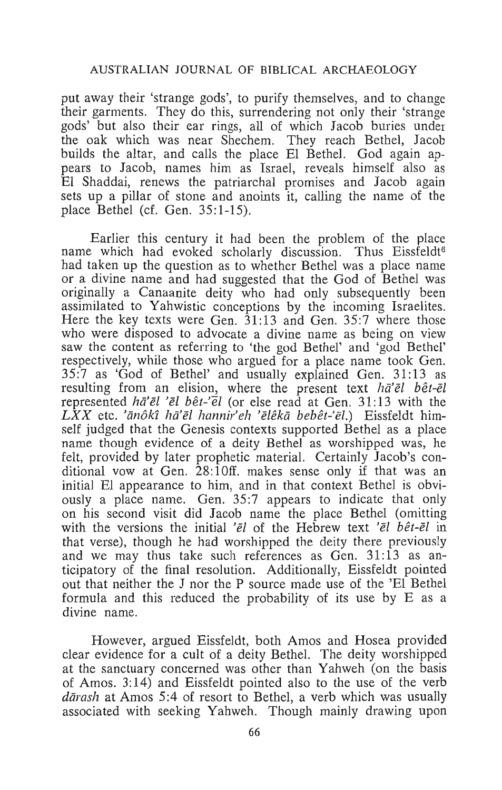put away their 'strange gods', to purify themselves, and to change their garments. They do this, surrendering not only their 'strange gods' but also their ear rings, all of which Jacob buries under the oak which was near Shechem. They reach Bethel, Jacob builds the altar, and calls the place El Bethel. God again appears to Jacob, names him as Israel, reveals himself also as El Shaddai, renews the patriarchal promises and Jacob again sets up a pillar of stone and anoints it, calling the name of the place Bethel (cf. Gen. 35:1-15).

Earlier this century it had been the problem of the place name which had evoked scholarly discussion. Thus Eissfeldt<sup>6</sup> had taken up the question as to whether Bethel was a place name or a divine name and had suggested that the God of Bethel was originally a Canaanite deity who had only subsequently been assimilated to Yahwistic conceptions by the incoming Israelites. Here the key texts were Gen. 31:13 and Gen. 35:7 where those who were disposed to advocate a divine name as being on view saw the content as referring to 'the god Bethel' and 'god Bethel' respectively, while those who argued for a place name took Gen. 35:7 as 'God of Bethel' and usually explained Gen. 31:13 as resulting from an elision, where the present text  $h\bar{\alpha}'\bar{\epsilon}l$  bêt- $\bar{\epsilon}l$ represented  $h\bar{\alpha}'\bar{e}l'$  'el bêt-'el (or else read at Gen. 31:13 with the  $\overline{L}XX$  etc. 'ānôkî hā'ēl hannir'eh 'ēlêkā bebêt-'ēl.) Eissfeldt himself judged that the Genesis contexts supported Bethel as a place name though evidence of a deity Bethel as worshipped was, he felt, provided by later prophetic material. Certainly Jacob's conditional vow at Gen. 28:10ff. makes sense only if that was an initial El appearance to him, and in that context Bethel is obviously a place name. Gen. 35:7 appears to indicate that only on his second visit did Jacob name the place Bethel (omitting with the versions the initial ' $\bar{e}$ l of the Hebrew text ' $\bar{e}$ l bêt- $\bar{e}$ l in that verse), though he had worshipped the deity there previously and we may thus take such references as Gen. 31:13 as anticipatory of the final resolution. Additionally, Eissfeldt pointed out that neither the J nor the P source made use of the 'El Bethel formula and this reduced the probability of its use by E as a divine name.

However, argued Eissfeldt, both Amos and Hosea provided clear evidence for a cult of a deity Bethel. The deity worshipped at the sanctuary concerned was other than Yahweh (on the basis of Amos. 3: 14) and Eissfeldt pointed also to the use of the verb dārash at Amos 5:4 of resort to Bethel, a verb which was usually associated with seeking Yahweh. Though mainly drawing upon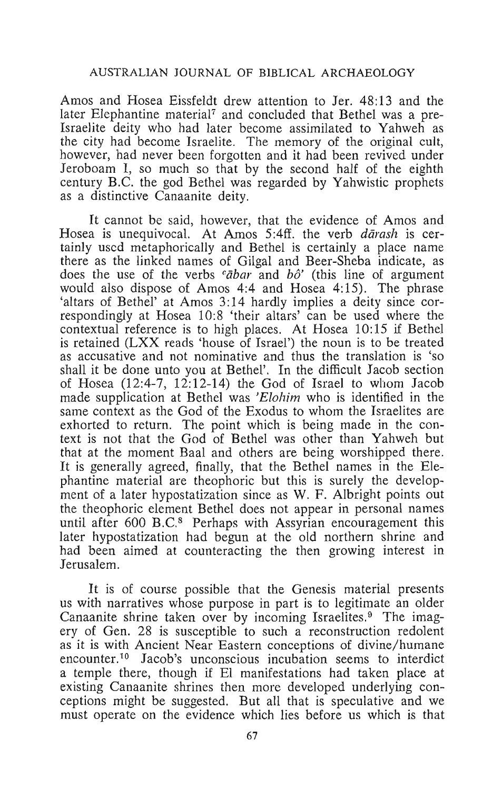Amos and Hosea Eissfeldt drew attention to Jer. 48:13 and the later Elephantine material<sup>7</sup> and concluded that Bethel was a pre-Israelite deity who had later become assimilated to Yahweh as the city had become Israelite. The memory of the original cult, however, had never been forgotten and it had been revived under Jeroboam I, so much so that by the second half of the eighth century B.C. the god Bethel was regarded by Yahwistic prophets as a distinctive Canaanite deity.

It cannot be said, however, that the evidence of Amos and Hosea is unequivocal. At Amos 5:4ff, the verb *darash* is certainly used metaphorically and Bethel is certainly a place name there as the linked names of Gilgal and Beer-Sheba indicate, as does the use of the verbs *cabar* and *hô'* (this line of argument would also dispose of Amos 4:4 and Hosea 4:15). The phrase 'altars of Bethel' at Amos 3:14 hardly implies a deity since correspondingly at Hosea 10:8 'their altars' can be used where the contextual reference is to high places. At Hosea 10:15 if Bethel is retained (LXX reads 'house of Israel') the noun is to be treated as accusative and not nominative and thus the translation is 'so shall it be done unto you at Bethel'. In the difficult Jacob section of Hosea (12:4-7, 12:12-14) the God of Israel to whom Jacob made supplication at Bethel was *'Elohim* who is identified in the same context as the God of the Exodus to whom the Israelites are exhorted to return. The point which is being made in the context is not that the God of Bethel was other than Yahweh but that at the moment Baal and others are being worshipped there. It is generally agreed, finally, that the Bethel names in the Elephantine material are theophoric but this is surely the development of a later hypostatization since as W. F. Albright points out the theophoric element Bethel does not appear in personal names until after 600 B.C.<sup>8</sup> Perhaps with Assyrian encouragement this later hypostatization had begun at the old northern shrine and had been aimed at counteracting the then growing interest in Jerusalem.

It is of course possible that the Genesis material presents us with narratives whose purpose in part is to legitimate an older Canaanite shrine taken over by incoming Israelites.<sup>9</sup> The imagery of Gen. 28 is susceptible to such a reconstruction redolent as it is with Ancient Near Eastern conceptions of divine/ humane encounter.<sup>10</sup> Jacob's unconscious incubation seems to interdict a temple there, though if El manifestations had taken place at existing Canaanite shrines then more developed underlying conceptions might be suggested. But all that is speculative and we must operate on the evidence which lies before us which is that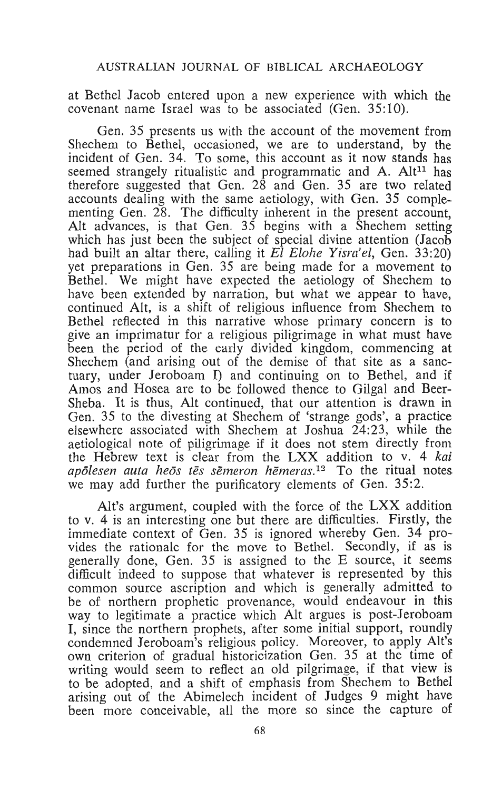at Bethel Jacob entered upon a new experience with which the covenant name Israel was to be associated (Gen. 35:10).

Gen. 35 presents us with the account of the movement from Shechem to Bethel, occasioned, we are to understand, by the incident of Gen. 34. To some, this account as it now stands has seemed strangely ritualistic and programmatic and A. Alt<sup>11</sup> has therefore suggested that Gen. 28 and Gen. 35 are two related accounts dealing with the same aetiology, with Gen. 35 complementing Gen. 28. The difficulty inherent in the present account, Alt advances, is that Gen. 35 begins with a Shechem setting which has just been the subject of special divine attention (Jacob had built an altar there, calling it *El Elohe Yisra'el,* Gen. 33:20) yet preparations in Gen. 35 are being made for a movement to Bethel. We might have expected the aetiology of Shechem to have been extended by narration, but what we appear to have, continued Alt, is a shift of religious influence from Shechem to Bethel reflected in this narrative whose primary concern is to give an imprimatur for a religious piligrimage in what must have been the period of the early divided kingdom, commencing at Shechem (and arising out of the demise of that site as a sanctuary, under Jeroboam I) and continuing on to Bethel, and if Amos and Hosea are to be followed thence to Gilgal and Beer-Sheba. It is thus, Alt continued, that our attention is drawn in Gen. 35 to the divesting at Shechem of 'strange gods', a practice elsewhere associated with Shechem at Joshua  $24:23$ , while the aetiological note of piligrimage if it does not stem directly from the Hebrew text is clear from the LXX addition to v. 4 *kai apolesen auta heos tes semeron hemeras. <sup>12</sup>*To the ritual notes we may add further the purificatory elements of Gen. 35:2.

Alt's argument, coupled with the force of the LXX addition to v. 4 is an interesting one but there are difficulties. Firstly, the immediate context of Gen. 35 is ignored whereby Gen. 34 provides the rationale for the move to Bethel. Secondly, if as is generally done, Gen. 35 is assigned to the E source, it seems difficult indeed to suppose that whatever is represented by this common source ascription and which is generally admitted to be of northern prophetic provenance, would endeavour in this way to legitimate a practice which Alt argues is post-Jeroboam I, since the northern prophets, after some initial support, roundly condemned Jeroboam's religious policy. Moreover, to apply All's own criterion of gradual historicization Gen. 35 at the time of writing would seem to reflect an old pilgrimage, if that view is to be adopted, and a shift of emphasis from Shechem to Bethel arising out of the Abimelech incident of Judges 9 might have been more conceivable, all the more so since the capture of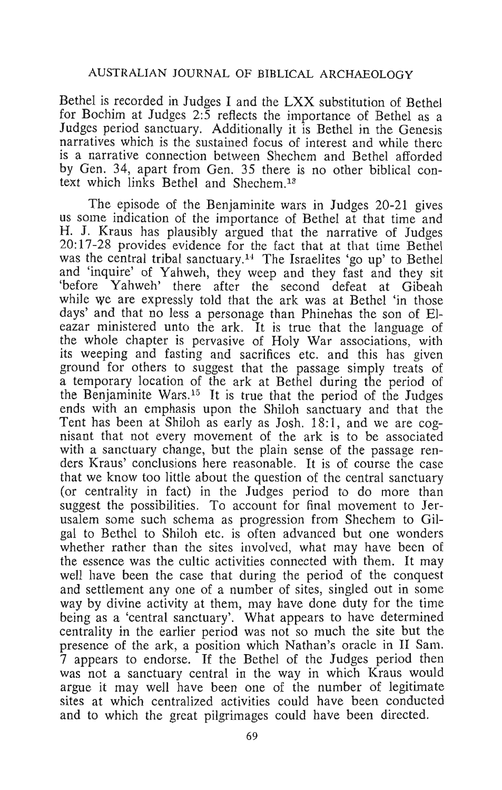Bethel *is* recorded in Judges I and the LXX substitution of Bethel for Bochim at Judges 2:5 reflects the importance of Bethel as a Judges period sanctuary. Additionally it is Bethel in the Genesis narratives which is the sustained focus of interest and while there is a narrative connection between Shechem and Bethel afforded by Gen. 34, apart from Gen. 35 there is no other biblical context which links Bethel and Shechem.13

The episode of the Benjaminite wars in Judges 20-21 gives us some indication of the importance of Bethel at that time and H. J. Kraus has plausibly argued that the narrative of Judges 20:17-28 provides evidence for the fact that at that time Bethel was the central tribal sanctuary.<sup>14</sup> The Israelites 'go up' to Bethel and 'inquire' of Yahweh, they weep and they fast and they sit 'before Yahweh' there after the second defeat at Gibeah while we are expressly told that the ark was at Bethel 'in those days' and that no less a personage than Phinehas the son of Eleazar ministered unto the ark. It is true that the language of the whole chapter is pervasive of Holy War associations, with its weeping and fasting and sacrifices etc. and this has given ground for others to suggest that the passage simply treats of a temporary location of the ark at Bethel during the period of the Benjaminite Wars.<sup>15</sup> It is true that the period of the Judges ends with an emphasis upon the Shiloh sanctuary and that the Tent has been at Shiloh as early as Josh. 18:1, and we are cognisant that not every movement of the ark is to be associated with a sanctuary change, but the plain sense of the passage renders Kraus' conclusions here reasonable. It is of course the case that we know too little about the question of the central sanctuary (or centrality in fact) in the Judges period to do more than suggest the possibilities. To account for final movement to Jerusalem some such schema as progression from Shechem to Gilgal to Bethel to Shiloh etc. is often advanced but one wonders whether rather than the sites involved, what may have been of the essence was the cultic activities connected with them. It may well have been the case that during the period of the conquest and settlement anyone of a number of sites, singled out in some way by divine activity at them, may have done duty for the time being as a 'central sanctuary'. What appears to have determined centrality in the earlier period was not so much the site but the presence of the ark, a position which Nathan's oracle in II Sam. 7 appears to endorse. If the Bethel of the Judges period then was not a sanctuary central in the way in which Kraus would argue it may well have been one of the number of legitimate sites at which centralized activities could have been conducted and to which the great pilgrimages could have been directed.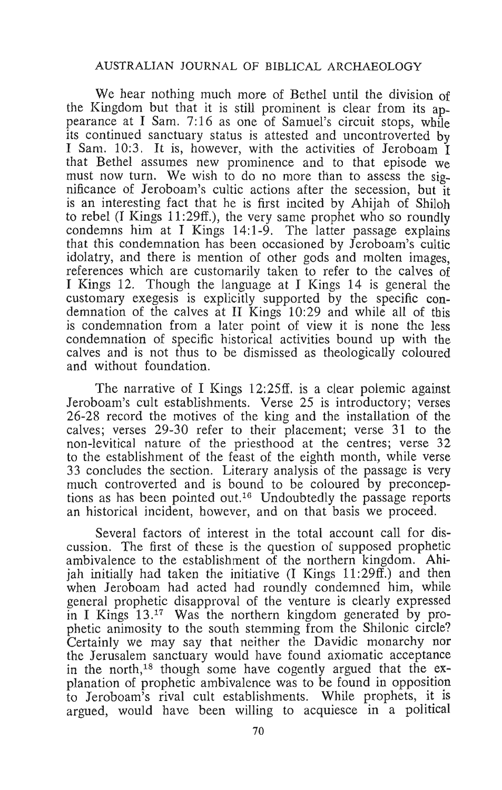We hear nothing much more of Bethel until the division of the Kingdom but that it is still prominent is clear from its appearance at I Sam. 7:16 as one of Samuel's circuit stops, while its continued sanctuary status is attested and uncontroverted by I Sam. 10:3. It is, however, with the activities of Jeroboam I that Bethel assumes new prominence and to that episode we must now turn. We wish to do no more than to assess the significance of Jeroboam's cultic actions after the secession, but it is an interesting fact that he is first incited by Ahijah of Shiloh to rebel (I Kings 11 :29ff.), the very same prophet who so roundly ondemns him at I Kings  $14:1-9$ . The latter passage explains that this condemnation has been occasioned by Jeroboam's cultie idolatry, and there is mention of other gods and molten images, references which are customarily taken to refer to the calves of I Kings 12. Though the language at I Kings 14 is general the ustomary exegesis is explicitly supported by the specific condemnation of the calves at II Kings 10:29 and while all of this is condemnation from a later point of view it is none the less condemnation of specific historical activities bound up with the calves and is not thus to be dismissed as theologically coloured and without foundation.

The narrative of I Kings 12:25ff. is a clear polemic against Jeroboam's cult establishments. Verse 25 is introductory; verses 26-28 record the motives of the king and the installation of the calves; verses 29-30 refer to their placement; verse 31 to the non-Ievitical nature of the priesthood at the centres; verse 32 to the establishment of the feast of the eighth month, while verse 33 concludes the section. Literary analysis of the passage is very much controverted and is bound to be coloured by preconceptions as has been pointed out. 16 Undoubtedly the passage reports an historical incident, however, and on that basis we proceed.

Several factors of interest in the total account call for discussion. The first of these is the question of supposed prophetic ambivalence to the establishment of the northern kingdom. Ahijah initially had taken the initiative  $(I$  Kings  $11:29ff$ .) and then when Jeroboam had acted had roundly condemned him, while general prophetic disapproval of the venture is clearly expressed in I Kings  $13.^{17}$  Was the northern kingdom generated by prophetic animosity to the south stemming from the Shilonic circle? Certainly we may say that neither the Davidic monarchy not the Jerusalem sanctuary would have found axiomatic acceptance in the north,<sup>18</sup> though some have cogently argued that the  $ex$ planation of prophetic ambivalence was to be found in opposition to Jeroboam's rival cult establishments. While prophets, it is argued, would have been willing to acquiesce in a political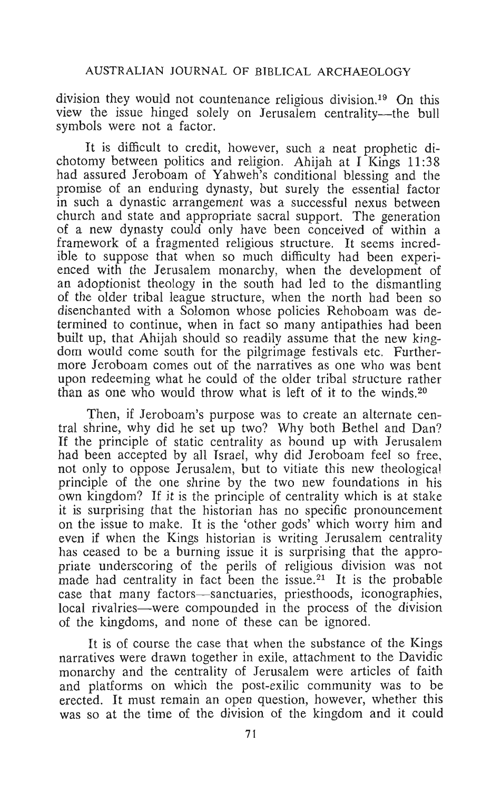division they would not countenance religious division.19 On this view the issue hinged solely on Jerusalem centrality--the bull symbols were not a factor.

It is difficult to credit, however, such a neat prophetic dichotomy between politics and religion. Ahijah at I Kings 11:38 had assured Jeroboam of Yahweh's conditional blessing and the promise of an enduring dynasty, but surely the essential factor in such a dynastic arrangement was a successful nexus between church and state and appropriate sacral support. The generation Framework and state and appropriate sactar support. The generation a new dynasty could only have been conceived of within a  $\frac{1}{2}$  a rew dynasty could only have been conceived. framework of a fragmented religious structure. It seems incred-<br>ible to suppose that when so much difficulty had been experienced with the Jerusalem monarchy, when the development of an adoptionist theology in the south had led to the dismantling of the older tribal league structure, when the north had been so disenchanted with a Solomon whose policies Rehoboam was determined to continue, when in fact so many antipathies had been built up, that Ahijah should so readily assume that the new kingdom would come south for the pilgrimage festivals etc. Furthermore Jeroboam comes out of the narratives as one who was bent upon redeeming what he could of the older tribal structure rather than as one who would throw what is left of it to the winds.<sup>20</sup>

Then, if Jeroboam's purpose was to create an alternate central shrine, why did he set up two? Why both Bethel and Dan? If the principle of static centrality as bound up with Jerusalem had been accepted by all Israel, why did Jeroboam feel so free, not only to oppose Jerusalem, but to vitiate this new theological principle of the one shrine by the two new foundations in his own kingdom? If it is the principle of centrality which is at stake it is surprising that the historian has no specific pronouncement on the issue to make. It is the 'other gods' which worry him and even if when the Kings historian is writing Jerusalem centrality has ceased to be a burning issue it is surprising that the appropriate underscoring of the perils of religious division was not made had centrality in fact been the issue.<sup>21</sup> It is the probable case that many factors-sanctuaries, priesthoods, iconographies, local rivalries—were compounded in the process of the division of the kingdoms, and none of these can be ignored.

It is of course the case that when the substance of the Kings narratives were drawn together in exile, attachment to the Davidic monarchy and the centrality of Jerusalem were articles of faith and platforms on which the post-exilic community was to be erected. It must remain an open question, however, whether this was so at the time of the division of the kingdom and it could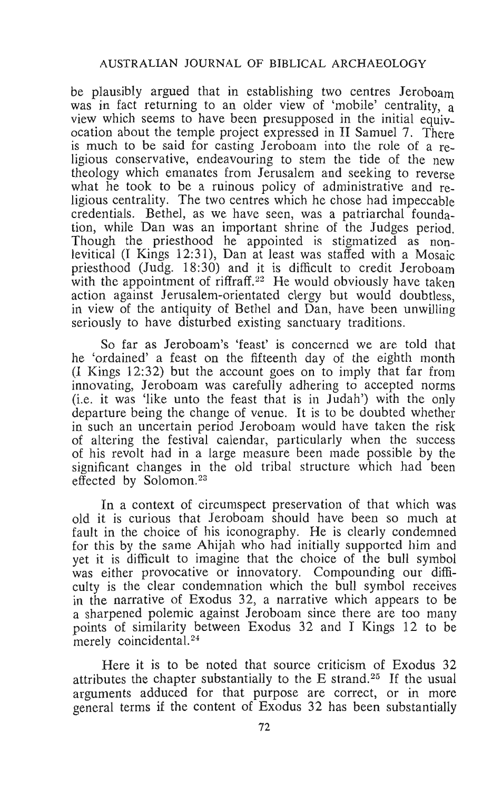be plausibly argued that in establishing two centres Jeroboam was in fact returning to an older view of 'mobile' centrality, a view which seems to have been presupposed in the initial equivocation about the temple project expressed in II Samuel 7. There is much to be said for casting Jeroboam into the role of a religious conservative, endeavouring to stem the tide of the new theology which emanates from Jerusalem and seeking to reverse what he took to be a ruinous policy of administrative and religious centrality. The two centres which he chose had impeccable credentials. Bethel, as we have seen, was a patriarchal foundation, while Dan was an important shrine of the Judges period. Though the priesthood he appointed is stigmatized as nonlevitical (I Kings 12:31), Dan at least was staffed with a Mosaic priesthood (Judg. 18:30) and it is difficult to credit Jeroboam with the appointment of riffraff.<sup>22</sup> He would obviously have taken action against Jerusalem-orientated clergy but would doubtless, in view of the antiquity of Bethel and Dan, have been unwilling seriously to have disturbed existing sanctuary traditions.

So far as Jeroboam's 'feast' is concerned we are told that he 'ordained' a feast on the fifteenth day of the eighth month (I Kings 12:32) but the account goes on to imply that far from innovating, Jeroboam was carefully adhering to accepted norms (i.e. it was 'like unto the feast that is in Judah') with the only departure being the change of venue. It is to be doubted whether in such an uncertain period Jeroboam would have taken the risk of altering the festival calendar, particularly when the success of his revolt had in a large measure been made possible by the significant changes in the old tribal structure which had been effected by Solomon.<sup>23</sup>

In a context of circumspect preservation of that which was old it is curious that Jeroboam should have been so much at fault in the choice of his iconography. He is clearly condemned for this by the same Ahijah who had initially supported him and yet it is difficult to imagine that the choice of the bull symbol was either provocative or innovatory. Compounding our difficulty is the clear condemnation which the bull symbol receives in the narrative of Exodus 32, a narrative which appears to be a sharpened polemic against Jeroboam since there are too many points of similarity between Exodus 32 and I Kings 12 to be merely coincidental.<sup>24</sup>

Here it is to be noted that source criticism of Exodus 32 attributes the chapter substantially to the E strand.<sup>25</sup> If the usual arguments adduced for that purpose are correct, or in more general terms if the content of Exodus 32 has been substantially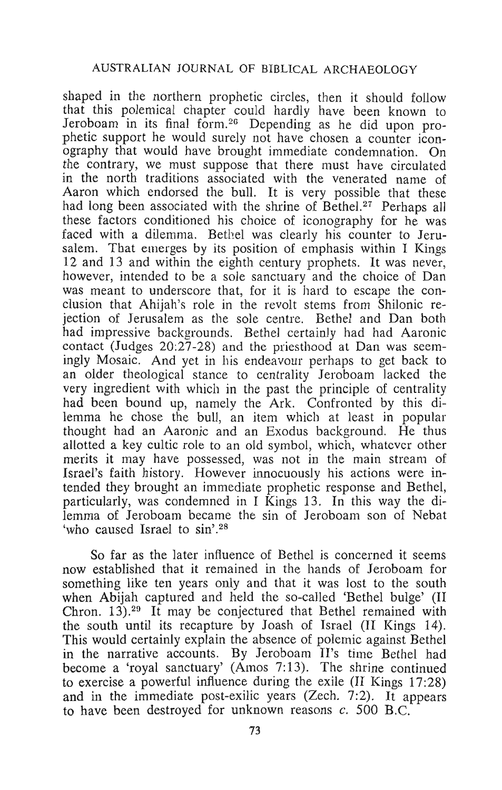shaped in the northern prophetic circles, then it should follow that this polemical chapter could hardly have been known to Jeroboam in its final form.<sup>26</sup> Depending as he did upon prophetic support he would surely not have chosen a counter iconography that would have brought immediate condemnation. On the contrary, we must suppose that there must have circulated in the north traditions associated with the venerated name of Aaron which endorsed the bull. It is very possible that these had long been associated with the shrine of Bethel.<sup>27</sup> Perhaps all these factors conditioned his choice of iconography for he was faced with a dilemma. Bethel was clearly his counter to Jerusalem. That emerges by its position of emphasis within I Kings 12 and 13 and within the eighth century prophets. It was never, however, intended to be a sole sanctuary and the choice of Dan was meant to underscore that, for it is hard to escape the conclusion that Ahijah's role in the revolt stems from Shilonic rejection of Jerusalem as the sole centre. Bethel and Dan both had impressive backgrounds. Bethel certainly had had Aaronic contact (Judges 20:27-28) and the priesthood at Dan was seemingly Mosaic. And yet in his endeavour perhaps to get back to an older theological stance to centrality Jeroboam lacked the very ingredient with which in the past the principle of centrality had been bound up, namely the Ark. Confronted by this dilemma he chose the bull, an item which at least in popular thought had an Aaronic and an Exodus background. He thus allotted a key cultic role to an old symbol, which, whatever other merits it may have possessed, was not in the main stream of Israel's faith history. However innocuously his actions were intended they brought an immediate prophetic response and Bethel, particularly, was condemned in I Kings 13. In this way the dilemma of Jeroboam became the sin of Jeroboam son of Nebat 'who caused Israel to sin'.<sup>28</sup>

So far as the later influence of Bethel is concerned it seems now established that it remained in the hands of Jeroboam for something like ten years only and that it was lost to the south when Abijah captured and held the so-called 'Bethel bulge' (II Chron. 13).<sup>29</sup> It may be conjectured that Bethel remained with the south until its recapture by Joash of Israel (II Kings 14). This would certainly explain the absence of polemic against Bethel in the narrative accounts. By Jeroboam II's time Bethel had become a 'royal sanctuary' (Amos 7:13). The shrine continued to exercise a powerful influence during the exile  $(II)$  Kings 17:28) and in the immediate post-exilic years (Zech. 7:2). It appears to have been destroyed for unknown reasons *c.* 500 B.C.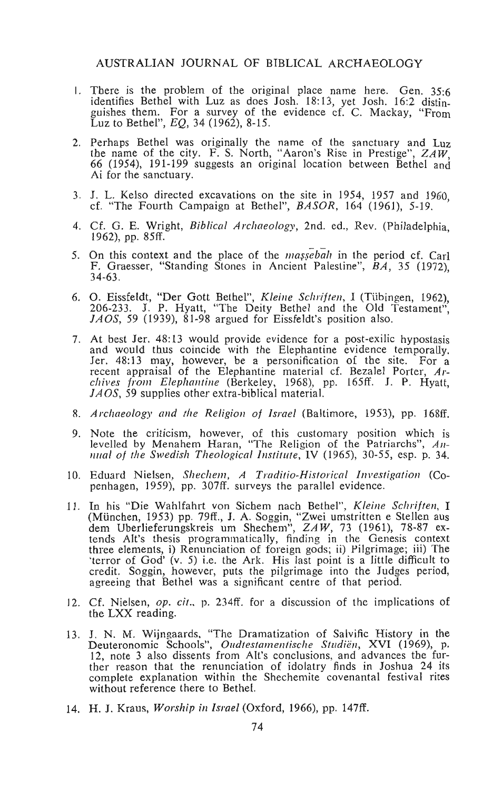- I. There is the problem of the original place name here. Gen. 35:6 dentifies Bethel with Luz as does Josh. 18:13, yet Josh. 16:2 distin-<br>guishes them. For a survey of the evidence cf. C. Mackay, "From Luz to Bethel",  $EQ, 34$  (1962), 8-15.
- 2. Perhaps Bethel was originally the name of the sanctuary and Luz the name of the city. F. S. North, "Aaron's Rise in Prestige", *ZAW,*  66 (1954), 191-199 suggests an original location between Bethel and Ai for the sanctuary.
- 3. J. L. Kelso directed excavations on the site in 1954, 1957 and 1960 cf. "The Fourth Campaign at Bethel", *BASOR*, 164 (1961), 5-19.
- 4. Cf. G. E. Wright, *Biblical Archaeology,* 2nd. ed., Rev. (Philadelphia, 1962), pp. 85ff.
- 5. On this context and the place of the  $magsebah$  in the period cf. Carl F. Graesser, "Standing Stones in Ancient Palestine", *BA,* 35 (1972), 34-63.
- 6. O. Eissfeldt, "Der Gott Bethel", *Kleine Schriften,* I (Tiibingen, 1962), 206-233. J. P. Hyatt, "The Deity Bethel and the Old Testament", *JAOS*, 59 (1939), 81-98 argued for Eissfeldt's position also.
- 7. At best Jer. 48:13 would provide evidence for a post-exilic hypostasis and would thus coincide with the Elephantine evidence temporally. Fer. 48:13 may, however, be a personification of the site. For a recent appraisal of the Elephantine material cf. Bezalel Porter, *Archives frol11 Elephantine* (Berkeley, 1968), pp. 165ff. J. P. Hyatt, *JAOS*, 59 supplies other extra-biblical material.
- 8. *Archaeology and the Religion of Israel* (Baltimore, 1953), pp. 168ff.
- 9. Note the criticism, however, of this customary position which is levelled by Menahem Haran, "The Religion of the Patriarchs", *An-IIIIal of the Swedish Theological Institute*, IV (1965), 30-55, esp. p. 34.
- 10. Eduard Nielsen, Shechem, A Traditio-Historical Investigation (Copenhagen, 1959), pp. 307ff. surveys the parallel evidence.
- 11. In his "Die Wahlfahrt von Sichem nach Bethel", *Kleine Schriften*, I (München, 1953) pp. 79ff., J. A. Soggin, "Zwei umstritten e Stellen aus dem Uberlieferungskreis um Shechem", *ZAW*, 73 (1961), 78-87 extends Alt's thesis programmatically, finding in the Genesis context three elements, i) Renunciation of foreign gods; ii) Pilgrimage; iii) The 'terror of God' (v. 5) i.e. the Ark. His last point is a little difficult to credit. Soggin, however, puts the pilgrimage into the Judges period, agreeing that Bethel was a significant centre of that period.
- 12. Cf. Nielsen, *op. cit.,* p. 234ff. for a discussion of the implications of the LXX reading.
- 13. J. N. M. Wijngaards, "The Dramatization of Salvific History in the Deuteronomic Schools", *Oudtestamentische Studiën*, XVI (1969), p. 12, note 3 also dissents from All's conclusions, and advances. the further reason that the renunciation of idolatry finds in Joshua 24 its complete explanation within the Shechemite covenantal festival rites without reference there to Bethel.
- 14. H. J. Kraus, *Worship in Israel* (Oxford, 1966), pp. 147ff.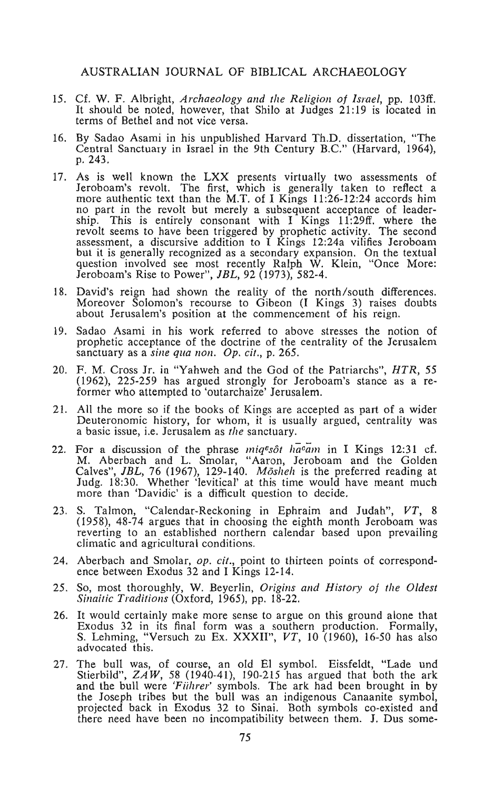- 15. Cf. W. F. Albright, *Archaeology and the Religion of Israel,* pp. 103ff. It should be noted, however, that Shilo at Judges 21:19 is located in terms of Bethel and not vice versa.
- 16. By Sadao Asami in his unpublished Harvard Th.D. dissertation, "The Central Sanctuary in Israel in the 9th Century B.C." (Harvard, 1964), Central Sanctuary in Israel in the 9th Century B.C." (Harvard, 1964), p. 243.
- As is well known the LXX presents virtually two assessments of Jeroboam's revolt. The first, which is generally taken to reflect a more authentic text than the M.T. of I Kings 11:26-12:24 accords him part in the revolt out inerely a subsequent acceptance of leader-<br>ip. This is entirely consonant with I Kings 11:29ff. where the<br>part of the second voir seems to have been triggered by prophetic activity. The second<br>sessment, a discursive addition to 1 Kings 12:24a vilifies Jeroboam<br>u it is generally recognized as a secondary expansion. On the textual u it is generally recognized as a secondary expansion. On the textual<br>petion involved see most recently Ralph W. Klein, "Once More: Jeroboam's Rise to Power", *]BL,* 92 (1973),582-4.
- 18. David's reign had shown the reality of the north/south differences. Moreover Solomon's recourse to Gibeon (1 Kings 3) raises doubts offered solomon's recourse to Gibeon (1 Kings 5) raises at
- 19. Sadao Asami in his work referred to above stresses the notion of prophetic acceptance of the doctrine of the centrality of the Jerusalem sanctuary as a *sine qua non. Op. cit.*, p. 265.
- 20. F. M. Cross Jr. in "Yahweh and the God of the Patriarchs", *HTR, 55*  (1962), 225-259 has argued strongly for Jeroboam's stance as a re- former who attempted to 'outarchaize' Jerusalem.
- 21. All the more so if the books of Kings are accepted as part of a wider Deuteronomic history, for whom, it is usually argued, centrality was a basic issue, i.e. Jerusalem as *the* sanctuary.
- 22. For a discussion of the phrase *miq*6*sot haoam* in 1 Kings 12:31 cf. M. Aberbach and L. Smolar, "Aaron, Jeroboam and the Golden Calves David and L. Shiolar, *P*raton, Jetopoam and the Golden.<br>Nues" *IBL 76 (1967)*, 129-140. *Möshel*, is the preferred reading at  $\frac{1}{3}$ :30. Whether 'levitical' at this time would have meant much dig. 18:30. Whether 'levitical' at this time would have meant much ore than 'Davidic' is a difficult question to decide.
- 23. S. Talmon, "Calendar-Reckoning in Ephraim and Judah", VT, 8 (1958), 48-74 argues that in choosing the eighth month Jeroboam was reverting to an established northern calendar based upon prevailing climatic and agricultural conditions.
- 24. Aberbach and Smolar, *op.* cif., point to thirteen points of correspond- ence between Exodus 32 and I Kings 12-14.
- 25. So, most thoroughly, W. Beyerlin, *Origills alld History oj the Oldest Sinaitic Traditions* (Oxford, 1965), pp. 18-22.
- 26. It would certainly make more sense to argue on this ground alone that would certainly make more sense to argue on this ground afolie mat  $\frac{1}{2}$  lehming, "Versuch zu Ex. XXXII", VT, 10 (1960), 16-50 has also lehming,  $\frac{1}{2}$
- 27. The bull was, of course, an old El symbol. Eissfeldt, "Lade und Stierbild", *ZA W,* 58 (1940-41), 190-215 has argued that both the ark and the bull were 'Fiihrer' symbols. The ark had been brought in by the Joseph tribes but the bull was an indigenous Canaanite symbol, projected back in Exodus 32 to Sinai. Both symbols co-existed and there need have been no incompatibility between them. J. Dus some-